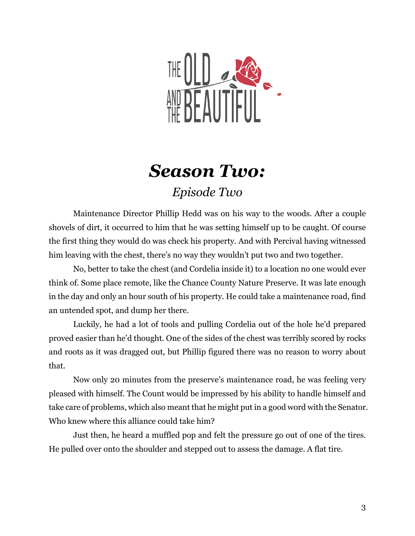

## *Season Two: Episode Two*

Maintenance Director Phillip Hedd was on his way to the woods. After a couple shovels of dirt, it occurred to him that he was setting himself up to be caught. Of course the first thing they would do was check his property. And with Percival having witnessed him leaving with the chest, there's no way they wouldn't put two and two together.

No, better to take the chest (and Cordelia inside it) to a location no one would ever think of. Some place remote, like the Chance County Nature Preserve. It was late enough in the day and only an hour south of his property. He could take a maintenance road, find an untended spot, and dump her there.

Luckily, he had a lot of tools and pulling Cordelia out of the hole he'd prepared proved easier than he'd thought. One of the sides of the chest was terribly scored by rocks and roots as it was dragged out, but Phillip figured there was no reason to worry about that.

Now only 20 minutes from the preserve's maintenance road, he was feeling very pleased with himself. The Count would be impressed by his ability to handle himself and take care of problems, which also meant that he might put in a good word with the Senator. Who knew where this alliance could take him?

Just then, he heard a muffled pop and felt the pressure go out of one of the tires. He pulled over onto the shoulder and stepped out to assess the damage. A flat tire.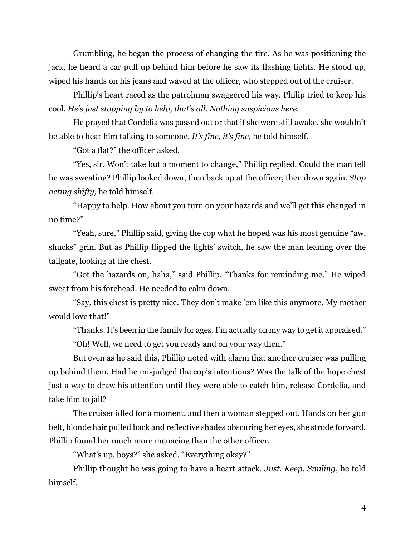Grumbling, he began the process of changing the tire. As he was positioning the jack, he heard a car pull up behind him before he saw its flashing lights. He stood up, wiped his hands on his jeans and waved at the officer, who stepped out of the cruiser.

Phillip's heart raced as the patrolman swaggered his way. Philip tried to keep his cool. *He's just stopping by to help, that's all. Nothing suspicious here.*

He prayed that Cordelia was passed out or that if she were still awake, she wouldn't be able to hear him talking to someone. *It's fine, it's fine,* he told himself.

"Got a flat?" the officer asked.

"Yes, sir. Won't take but a moment to change," Phillip replied. Could the man tell he was sweating? Phillip looked down, then back up at the officer, then down again. *Stop acting shifty,* he told himself.

"Happy to help. How about you turn on your hazards and we'll get this changed in no time?"

"Yeah, sure," Phillip said, giving the cop what he hoped was his most genuine "aw, shucks" grin. But as Phillip flipped the lights' switch, he saw the man leaning over the tailgate, looking at the chest.

"Got the hazards on, haha," said Phillip. "Thanks for reminding me." He wiped sweat from his forehead. He needed to calm down.

"Say, this chest is pretty nice. They don't make 'em like this anymore. My mother would love that!"

"Thanks.It's been in the family for ages.I'm actually on my way to get it appraised."

"Oh! Well, we need to get you ready and on your way then."

But even as he said this, Phillip noted with alarm that another cruiser was pulling up behind them. Had he misjudged the cop's intentions? Was the talk of the hope chest just a way to draw his attention until they were able to catch him, release Cordelia, and take him to jail?

The cruiser idled for a moment, and then a woman stepped out. Hands on her gun belt, blonde hair pulled back and reflective shades obscuring her eyes, she strode forward. Phillip found her much more menacing than the other officer.

"What's up, boys?" she asked. "Everything okay?"

Phillip thought he was going to have a heart attack. *Just. Keep. Smiling*, he told himself.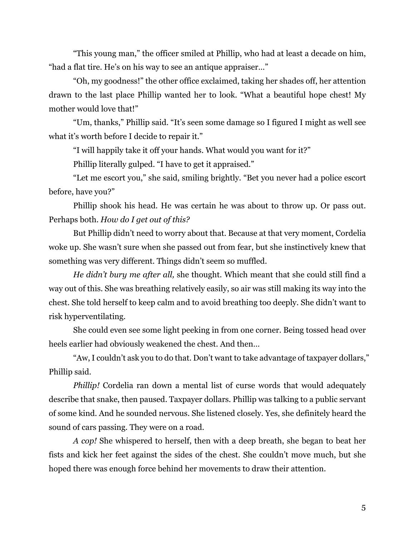"This young man," the officer smiled at Phillip, who had at least a decade on him, "had a flat tire. He's on his way to see an antique appraiser…"

"Oh, my goodness!" the other office exclaimed, taking her shades off, her attention drawn to the last place Phillip wanted her to look. "What a beautiful hope chest! My mother would love that!"

"Um, thanks," Phillip said. "It's seen some damage so I figured I might as well see what it's worth before I decide to repair it."

"I will happily take it off your hands. What would you want for it?"

Phillip literally gulped. "I have to get it appraised."

"Let me escort you," she said, smiling brightly. "Bet you never had a police escort before, have you?"

Phillip shook his head. He was certain he was about to throw up. Or pass out. Perhaps both. *How do I get out of this?*

But Phillip didn't need to worry about that. Because at that very moment, Cordelia woke up. She wasn't sure when she passed out from fear, but she instinctively knew that something was very different. Things didn't seem so muffled.

*He didn't bury me after all,* she thought. Which meant that she could still find a way out of this. She was breathing relatively easily, so air was still making its way into the chest. She told herself to keep calm and to avoid breathing too deeply. She didn't want to risk hyperventilating.

She could even see some light peeking in from one corner. Being tossed head over heels earlier had obviously weakened the chest. And then…

"Aw, I couldn't ask you to do that. Don't want to take advantage of taxpayer dollars," Phillip said.

*Phillip!* Cordelia ran down a mental list of curse words that would adequately describe that snake, then paused. Taxpayer dollars. Phillip was talking to a public servant of some kind. And he sounded nervous. She listened closely. Yes, she definitely heard the sound of cars passing. They were on a road.

*A cop!* She whispered to herself, then with a deep breath, she began to beat her fists and kick her feet against the sides of the chest. She couldn't move much, but she hoped there was enough force behind her movements to draw their attention.